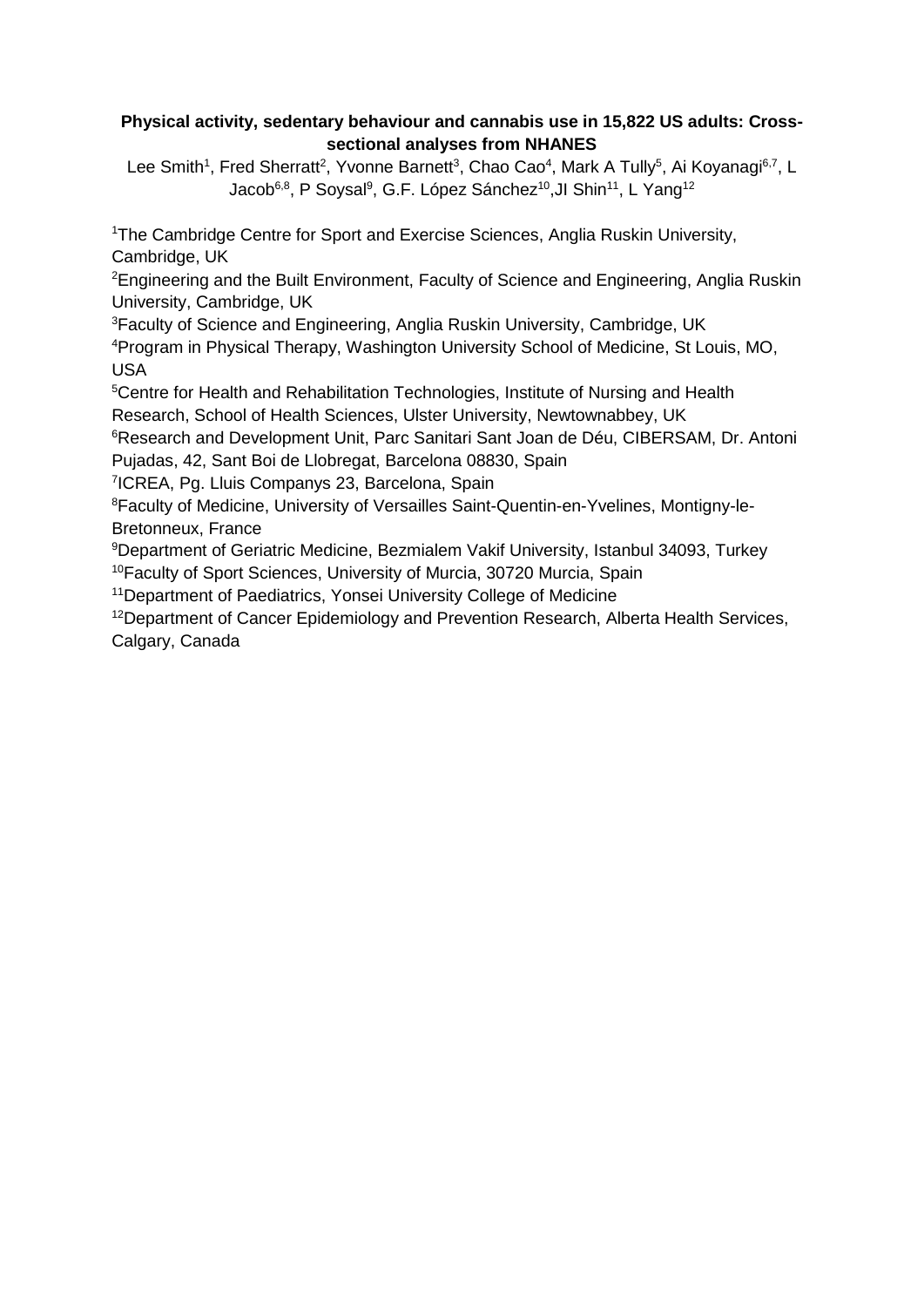## **Physical activity, sedentary behaviour and cannabis use in 15,822 US adults: Crosssectional analyses from NHANES**

Lee Smith<sup>1</sup>, Fred Sherratt<sup>2</sup>, Yvonne Barnett<sup>3</sup>, Chao Cao<sup>4</sup>, Mark A Tully<sup>5</sup>, Ai Koyanagi<sup>6,7</sup>, L Jacob<sup>6,8</sup>, P Soysal<sup>9</sup>, G.F. López Sánchez<sup>10</sup>,Jl Shin<sup>11</sup>, L Yang<sup>12</sup>

<sup>1</sup>The Cambridge Centre for Sport and Exercise Sciences, Anglia Ruskin University, Cambridge, UK

<sup>2</sup>Engineering and the Built Environment, Faculty of Science and Engineering, Anglia Ruskin University, Cambridge, UK

<sup>3</sup>Faculty of Science and Engineering, Anglia Ruskin University, Cambridge, UK

<sup>4</sup>Program in Physical Therapy, Washington University School of Medicine, St Louis, MO, USA

<sup>5</sup>Centre for Health and Rehabilitation Technologies, Institute of Nursing and Health Research, School of Health Sciences, Ulster University, Newtownabbey, UK

<sup>6</sup>Research and Development Unit, Parc Sanitari Sant Joan de Déu, CIBERSAM, Dr. Antoni Pujadas, 42, Sant Boi de Llobregat, Barcelona 08830, Spain

7 ICREA, Pg. Lluis Companys 23, Barcelona, Spain

<sup>8</sup>Faculty of Medicine, University of Versailles Saint-Quentin-en-Yvelines, Montigny-le-Bretonneux, France

<sup>9</sup>Department of Geriatric Medicine, Bezmialem Vakif University, Istanbul 34093, Turkey <sup>10</sup>Faculty of Sport Sciences, University of Murcia, 30720 Murcia, Spain

<sup>11</sup>Department of Paediatrics, Yonsei University College of Medicine

<sup>12</sup>Department of Cancer Epidemiology and Prevention Research, Alberta Health Services, Calgary, Canada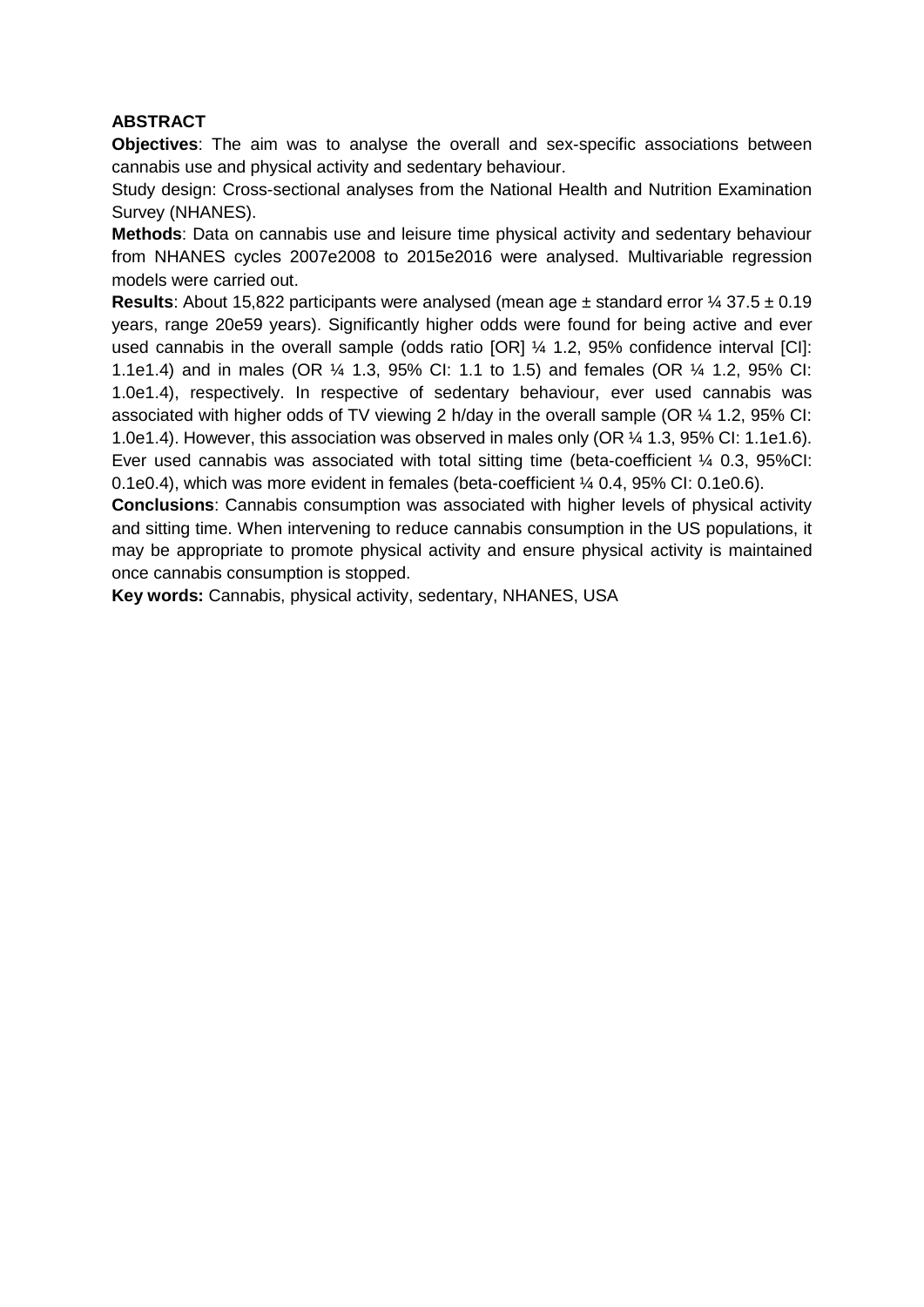### **ABSTRACT**

**Objectives**: The aim was to analyse the overall and sex-specific associations between cannabis use and physical activity and sedentary behaviour.

Study design: Cross-sectional analyses from the National Health and Nutrition Examination Survey (NHANES).

**Methods**: Data on cannabis use and leisure time physical activity and sedentary behaviour from NHANES cycles 2007e2008 to 2015e2016 were analysed. Multivariable regression models were carried out.

**Results**: About 15,822 participants were analysed (mean age ± standard error ¼ 37.5 ± 0.19 years, range 20e59 years). Significantly higher odds were found for being active and ever used cannabis in the overall sample (odds ratio [OR] ¼ 1.2, 95% confidence interval [CI]: 1.1e1.4) and in males (OR ¼ 1.3, 95% CI: 1.1 to 1.5) and females (OR ¼ 1.2, 95% CI: 1.0e1.4), respectively. In respective of sedentary behaviour, ever used cannabis was associated with higher odds of TV viewing 2 h/day in the overall sample (OR ¼ 1.2, 95% CI: 1.0e1.4). However, this association was observed in males only (OR ¼ 1.3, 95% CI: 1.1e1.6). Ever used cannabis was associated with total sitting time (beta-coefficient ¼ 0.3, 95%CI: 0.1e0.4), which was more evident in females (beta-coefficient ¼ 0.4, 95% CI: 0.1e0.6).

**Conclusions**: Cannabis consumption was associated with higher levels of physical activity and sitting time. When intervening to reduce cannabis consumption in the US populations, it may be appropriate to promote physical activity and ensure physical activity is maintained once cannabis consumption is stopped.

**Key words:** Cannabis, physical activity, sedentary, NHANES, USA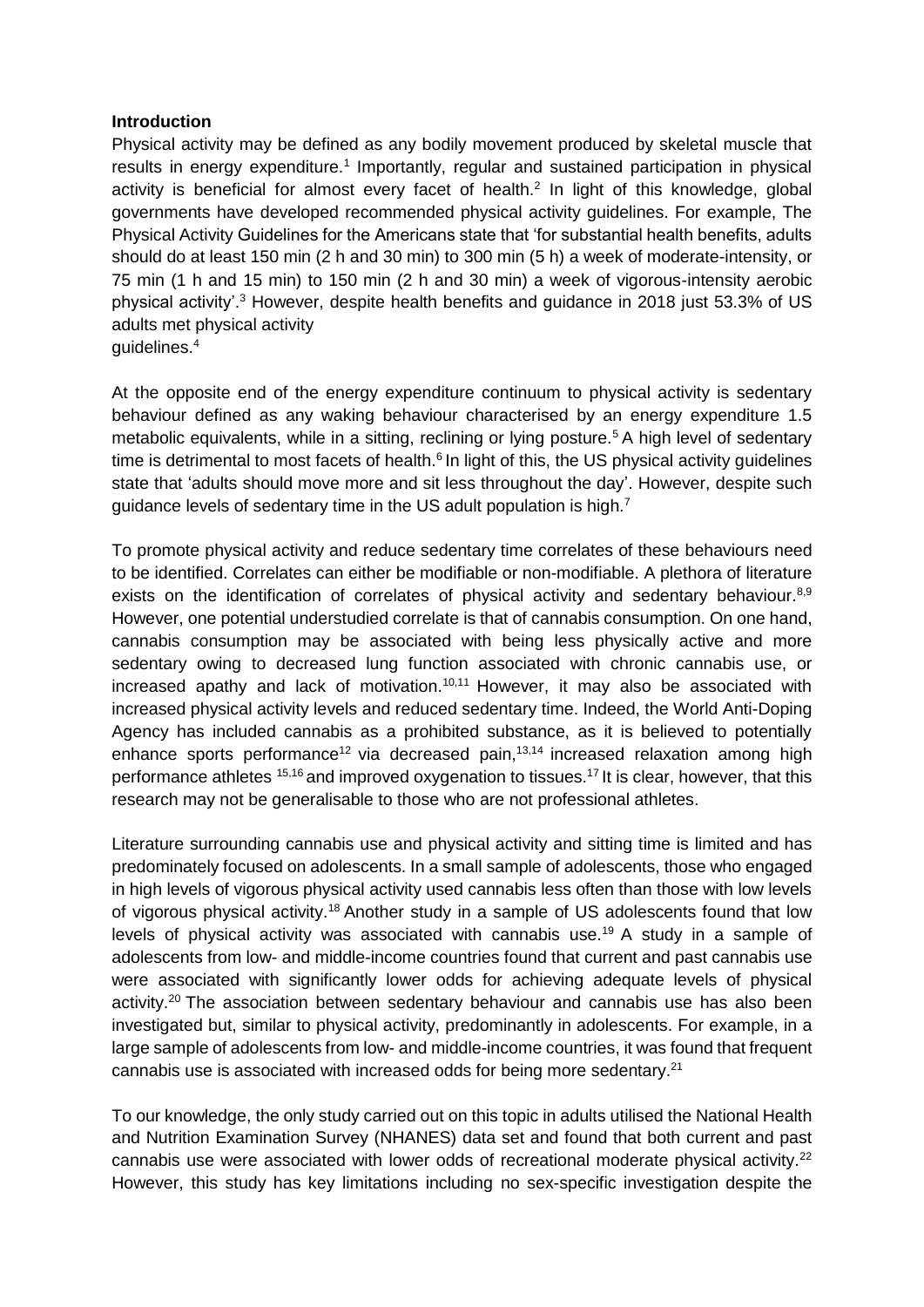#### **Introduction**

Physical activity may be defined as any bodily movement produced by skeletal muscle that results in energy expenditure.<sup>1</sup> Importantly, regular and sustained participation in physical activity is beneficial for almost every facet of health. $<sup>2</sup>$  In light of this knowledge, global</sup> governments have developed recommended physical activity guidelines. For example, The Physical Activity Guidelines for the Americans state that 'for substantial health benefits, adults should do at least 150 min (2 h and 30 min) to 300 min (5 h) a week of moderate-intensity, or 75 min (1 h and 15 min) to 150 min (2 h and 30 min) a week of vigorous-intensity aerobic physical activity'.<sup>3</sup> However, despite health benefits and guidance in 2018 just 53.3% of US adults met physical activity guidelines.<sup>4</sup>

At the opposite end of the energy expenditure continuum to physical activity is sedentary behaviour defined as any waking behaviour characterised by an energy expenditure 1.5 metabolic equivalents, while in a sitting, reclining or lying posture.<sup>5</sup> A high level of sedentary time is detrimental to most facets of health. $6$  In light of this, the US physical activity quidelines state that 'adults should move more and sit less throughout the day'. However, despite such guidance levels of sedentary time in the US adult population is high.<sup>7</sup>

To promote physical activity and reduce sedentary time correlates of these behaviours need to be identified. Correlates can either be modifiable or non-modifiable. A plethora of literature exists on the identification of correlates of physical activity and sedentary behaviour.<sup>8,9</sup> However, one potential understudied correlate is that of cannabis consumption. On one hand, cannabis consumption may be associated with being less physically active and more sedentary owing to decreased lung function associated with chronic cannabis use, or increased apathy and lack of motivation.<sup>10,11</sup> However, it may also be associated with increased physical activity levels and reduced sedentary time. Indeed, the World Anti-Doping Agency has included cannabis as a prohibited substance, as it is believed to potentially enhance sports performance<sup>12</sup> via decreased pain,<sup>13,14</sup> increased relaxation among high performance athletes <sup>15,16</sup> and improved oxygenation to tissues.<sup>17</sup> It is clear, however, that this research may not be generalisable to those who are not professional athletes.

Literature surrounding cannabis use and physical activity and sitting time is limited and has predominately focused on adolescents. In a small sample of adolescents, those who engaged in high levels of vigorous physical activity used cannabis less often than those with low levels of vigorous physical activity.<sup>18</sup> Another study in a sample of US adolescents found that low levels of physical activity was associated with cannabis use.<sup>19</sup> A study in a sample of adolescents from low- and middle-income countries found that current and past cannabis use were associated with significantly lower odds for achieving adequate levels of physical activity.<sup>20</sup> The association between sedentary behaviour and cannabis use has also been investigated but, similar to physical activity, predominantly in adolescents. For example, in a large sample of adolescents from low- and middle-income countries, it was found that frequent cannabis use is associated with increased odds for being more sedentary.<sup>21</sup>

To our knowledge, the only study carried out on this topic in adults utilised the National Health and Nutrition Examination Survey (NHANES) data set and found that both current and past cannabis use were associated with lower odds of recreational moderate physical activity.<sup>22</sup> However, this study has key limitations including no sex-specific investigation despite the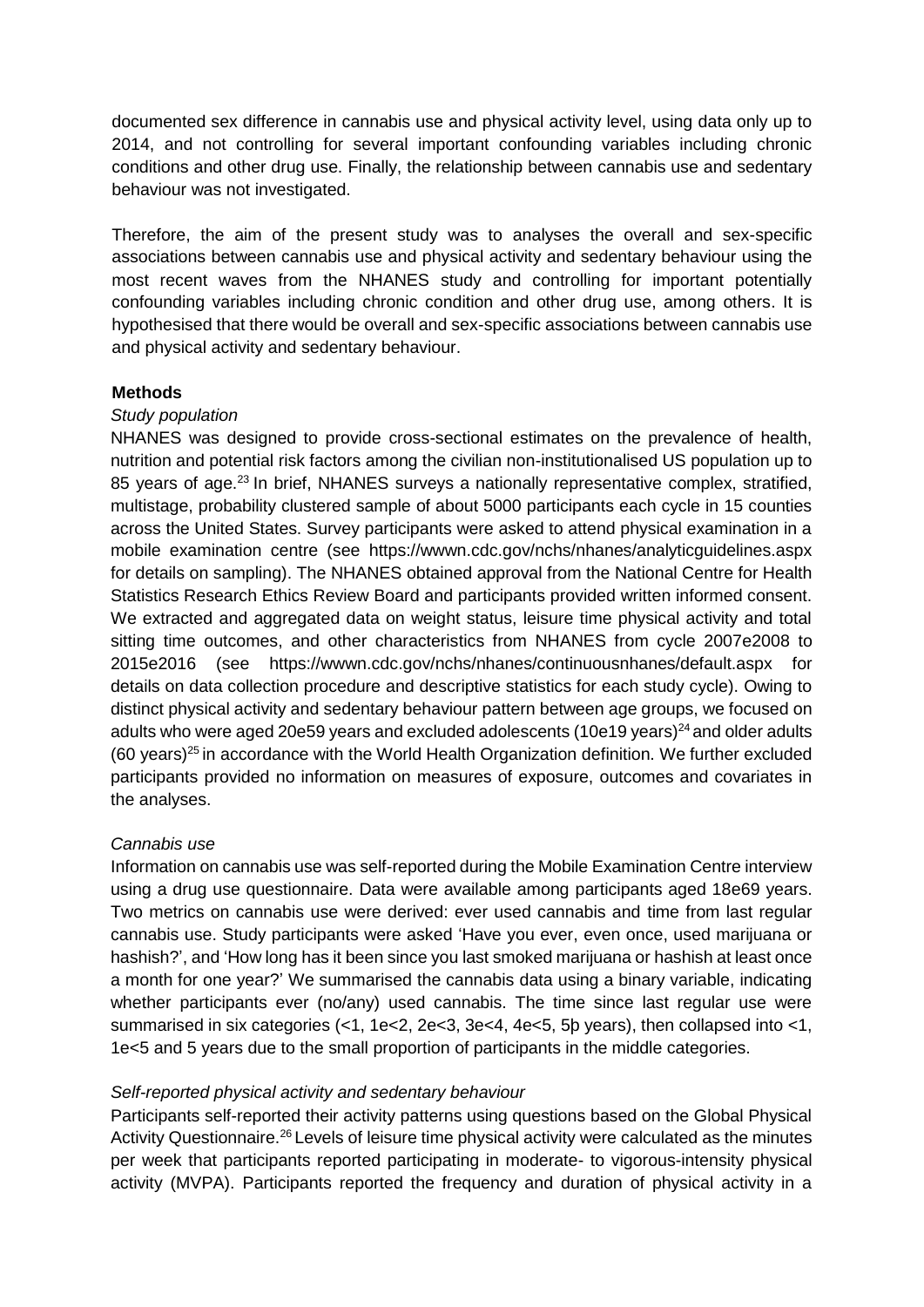documented sex difference in cannabis use and physical activity level, using data only up to 2014, and not controlling for several important confounding variables including chronic conditions and other drug use. Finally, the relationship between cannabis use and sedentary behaviour was not investigated.

Therefore, the aim of the present study was to analyses the overall and sex-specific associations between cannabis use and physical activity and sedentary behaviour using the most recent waves from the NHANES study and controlling for important potentially confounding variables including chronic condition and other drug use, among others. It is hypothesised that there would be overall and sex-specific associations between cannabis use and physical activity and sedentary behaviour.

#### **Methods**

#### *Study population*

NHANES was designed to provide cross-sectional estimates on the prevalence of health, nutrition and potential risk factors among the civilian non-institutionalised US population up to 85 years of age.<sup>23</sup> In brief, NHANES surveys a nationally representative complex, stratified, multistage, probability clustered sample of about 5000 participants each cycle in 15 counties across the United States. Survey participants were asked to attend physical examination in a mobile examination centre (see <https://wwwn.cdc.gov/nchs/nhanes/analyticguidelines.aspx> for details on sampling). The NHANES obtained approval from the National Centre for Health Statistics Research Ethics Review Board and participants provided written informed consent. We extracted and aggregated data on weight status, leisure time physical activity and total sitting time outcomes, and other characteristics from NHANES from cycle 2007e2008 to 2015e2016 (see <https://wwwn.cdc.gov/nchs/nhanes/continuousnhanes/default.aspx> for details on data collection procedure and descriptive statistics for each study cycle). Owing to distinct physical activity and sedentary behaviour pattern between age groups, we focused on adults who were aged 20e59 years and excluded adolescents  $(10e19 \,\mathrm{years})^{24}$  and older adults (60 years) $25$  in accordance with the World Health Organization definition. We further excluded participants provided no information on measures of exposure, outcomes and covariates in the analyses.

#### *Cannabis use*

Information on cannabis use was self-reported during the Mobile Examination Centre interview using a drug use questionnaire. Data were available among participants aged 18e69 years. Two metrics on cannabis use were derived: ever used cannabis and time from last regular cannabis use. Study participants were asked 'Have you ever, even once, used marijuana or hashish?', and 'How long has it been since you last smoked marijuana or hashish at least once a month for one year?' We summarised the cannabis data using a binary variable, indicating whether participants ever (no/any) used cannabis. The time since last regular use were summarised in six categories (<1, 1e<2, 2e<3, 3e<4, 4e<5, 5þ years), then collapsed into <1, 1e<5 and 5 years due to the small proportion of participants in the middle categories.

#### *Self-reported physical activity and sedentary behaviour*

Participants self-reported their activity patterns using questions based on the Global Physical Activity Questionnaire.<sup>26</sup> Levels of leisure time physical activity were calculated as the minutes per week that participants reported participating in moderate- to vigorous-intensity physical activity (MVPA). Participants reported the frequency and duration of physical activity in a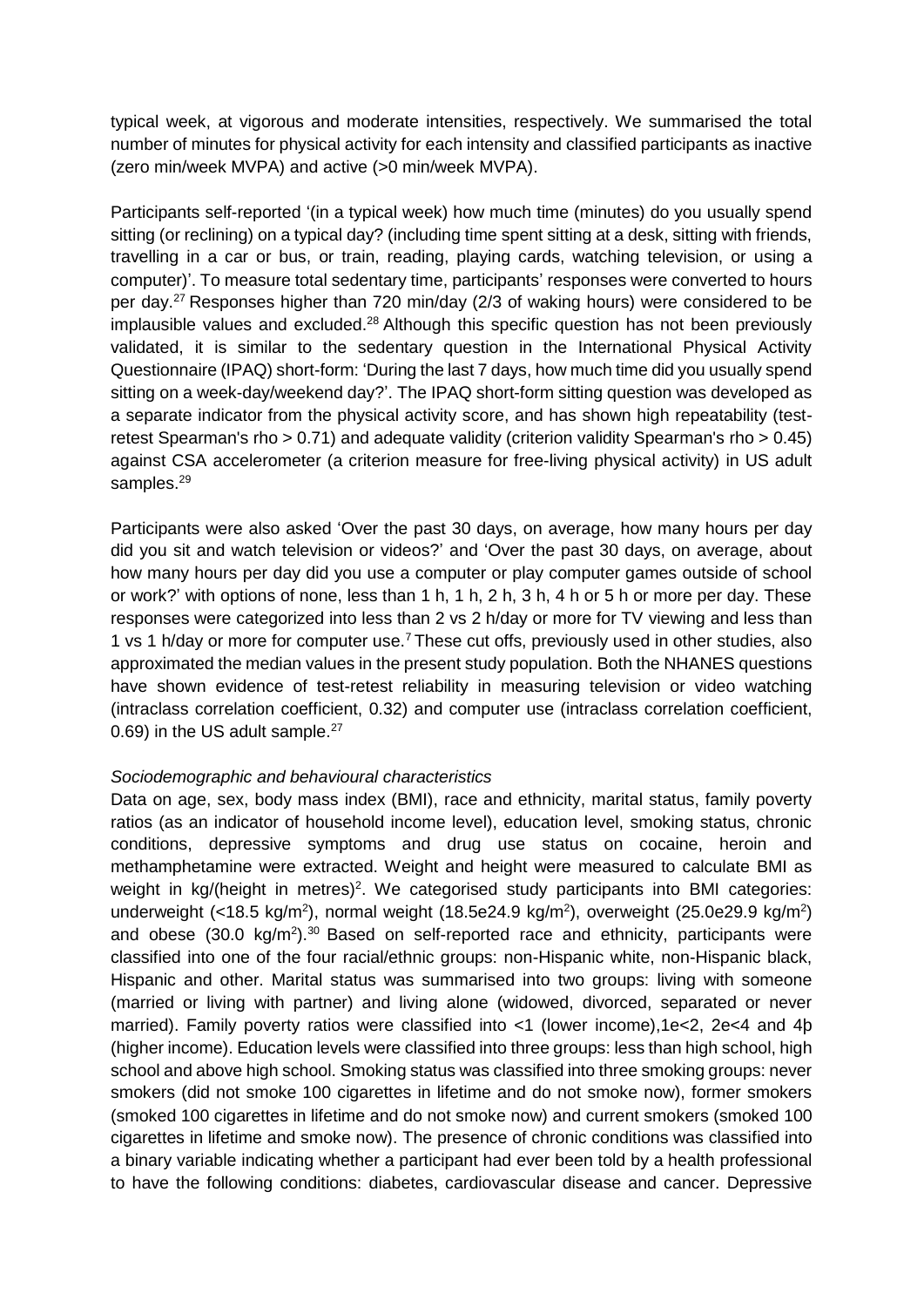typical week, at vigorous and moderate intensities, respectively. We summarised the total number of minutes for physical activity for each intensity and classified participants as inactive (zero min/week MVPA) and active (>0 min/week MVPA).

Participants self-reported '(in a typical week) how much time (minutes) do you usually spend sitting (or reclining) on a typical day? (including time spent sitting at a desk, sitting with friends, travelling in a car or bus, or train, reading, playing cards, watching television, or using a computer)'. To measure total sedentary time, participants' responses were converted to hours per day.<sup>27</sup> Responses higher than 720 min/day (2/3 of waking hours) were considered to be implausible values and excluded. $28$  Although this specific question has not been previously validated, it is similar to the sedentary question in the International Physical Activity Questionnaire (IPAQ) short-form: 'During the last 7 days, how much time did you usually spend sitting on a week-day/weekend day?'. The IPAQ short-form sitting question was developed as a separate indicator from the physical activity score, and has shown high repeatability (testretest Spearman's rho > 0.71) and adequate validity (criterion validity Spearman's rho > 0.45) against CSA accelerometer (a criterion measure for free-living physical activity) in US adult samples.<sup>29</sup>

Participants were also asked 'Over the past 30 days, on average, how many hours per day did you sit and watch television or videos?' and 'Over the past 30 days, on average, about how many hours per day did you use a computer or play computer games outside of school or work?' with options of none, less than 1 h, 1 h, 2 h, 3 h, 4 h or 5 h or more per day. These responses were categorized into less than 2 vs 2 h/day or more for TV viewing and less than 1 vs 1 h/day or more for computer use.<sup>7</sup> These cut offs, previously used in other studies, also approximated the median values in the present study population. Both the NHANES questions have shown evidence of test-retest reliability in measuring television or video watching (intraclass correlation coefficient, 0.32) and computer use (intraclass correlation coefficient, 0.69) in the US adult sample.<sup>27</sup>

#### *Sociodemographic and behavioural characteristics*

Data on age, sex, body mass index (BMI), race and ethnicity, marital status, family poverty ratios (as an indicator of household income level), education level, smoking status, chronic conditions, depressive symptoms and drug use status on cocaine, heroin and methamphetamine were extracted. Weight and height were measured to calculate BMI as weight in  $kg/(height \text{ in metres})^2$ . We categorised study participants into BMI categories: underweight (<18.5 kg/m<sup>2</sup>), normal weight (18.5e24.9 kg/m<sup>2</sup>), overweight (25.0e29.9 kg/m<sup>2</sup>) and obese  $(30.0 \text{ kg/m}^2)$ .<sup>30</sup> Based on self-reported race and ethnicity, participants were classified into one of the four racial/ethnic groups: non-Hispanic white, non-Hispanic black, Hispanic and other. Marital status was summarised into two groups: living with someone (married or living with partner) and living alone (widowed, divorced, separated or never married). Family poverty ratios were classified into <1 (lower income), 1e<2, 2e<4 and 4b (higher income). Education levels were classified into three groups: less than high school, high school and above high school. Smoking status was classified into three smoking groups: never smokers (did not smoke 100 cigarettes in lifetime and do not smoke now), former smokers (smoked 100 cigarettes in lifetime and do not smoke now) and current smokers (smoked 100 cigarettes in lifetime and smoke now). The presence of chronic conditions was classified into a binary variable indicating whether a participant had ever been told by a health professional to have the following conditions: diabetes, cardiovascular disease and cancer. Depressive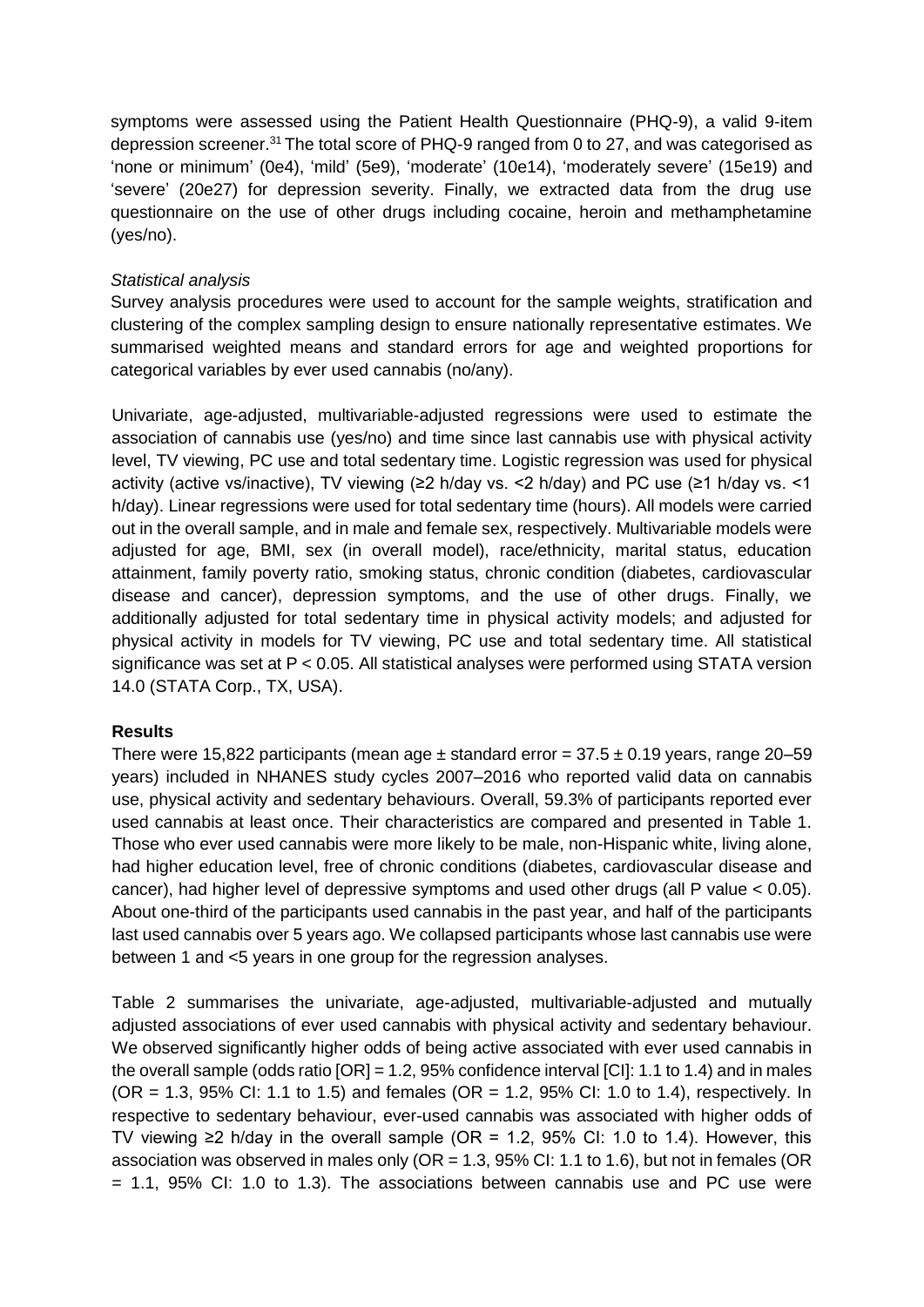symptoms were assessed using the Patient Health Questionnaire (PHQ-9), a valid 9-item depression screener.<sup>31</sup> The total score of PHQ-9 ranged from 0 to 27, and was categorised as 'none or minimum' (0e4), 'mild' (5e9), 'moderate' (10e14), 'moderately severe' (15e19) and 'severe' (20e27) for depression severity. Finally, we extracted data from the drug use questionnaire on the use of other drugs including cocaine, heroin and methamphetamine (yes/no).

#### *Statistical analysis*

Survey analysis procedures were used to account for the sample weights, stratification and clustering of the complex sampling design to ensure nationally representative estimates. We summarised weighted means and standard errors for age and weighted proportions for categorical variables by ever used cannabis (no/any).

Univariate, age-adjusted, multivariable-adjusted regressions were used to estimate the association of cannabis use (yes/no) and time since last cannabis use with physical activity level, TV viewing, PC use and total sedentary time. Logistic regression was used for physical activity (active vs/inactive), TV viewing (≥2 h/day vs. <2 h/day) and PC use (≥1 h/day vs. <1 h/day). Linear regressions were used for total sedentary time (hours). All models were carried out in the overall sample, and in male and female sex, respectively. Multivariable models were adjusted for age, BMI, sex (in overall model), race/ethnicity, marital status, education attainment, family poverty ratio, smoking status, chronic condition (diabetes, cardiovascular disease and cancer), depression symptoms, and the use of other drugs. Finally, we additionally adjusted for total sedentary time in physical activity models; and adjusted for physical activity in models for TV viewing, PC use and total sedentary time. All statistical significance was set at P < 0.05. All statistical analyses were performed using STATA version 14.0 (STATA Corp., TX, USA).

# **Results**

There were 15,822 participants (mean age  $\pm$  standard error = 37.5  $\pm$  0.19 years, range 20–59 years) included in NHANES study cycles 2007–2016 who reported valid data on cannabis use, physical activity and sedentary behaviours. Overall, 59.3% of participants reported ever used cannabis at least once. Their characteristics are compared and presented in Table 1. Those who ever used cannabis were more likely to be male, non-Hispanic white, living alone, had higher education level, free of chronic conditions (diabetes, cardiovascular disease and cancer), had higher level of depressive symptoms and used other drugs (all P value < 0.05). About one-third of the participants used cannabis in the past year, and half of the participants last used cannabis over 5 years ago. We collapsed participants whose last cannabis use were between 1 and <5 years in one group for the regression analyses.

Table 2 summarises the univariate, age-adjusted, multivariable-adjusted and mutually adjusted associations of ever used cannabis with physical activity and sedentary behaviour. We observed significantly higher odds of being active associated with ever used cannabis in the overall sample (odds ratio [OR] = 1.2, 95% confidence interval [CI]: 1.1 to 1.4) and in males (OR = 1.3, 95% CI: 1.1 to 1.5) and females (OR = 1.2, 95% CI: 1.0 to 1.4), respectively. In respective to sedentary behaviour, ever-used cannabis was associated with higher odds of TV viewing ≥2 h/day in the overall sample (OR = 1.2, 95% CI: 1.0 to 1.4). However, this association was observed in males only ( $OR = 1.3$ ,  $95\%$  CI: 1.1 to 1.6), but not in females (OR  $= 1.1$ , 95% CI: 1.0 to 1.3). The associations between cannabis use and PC use were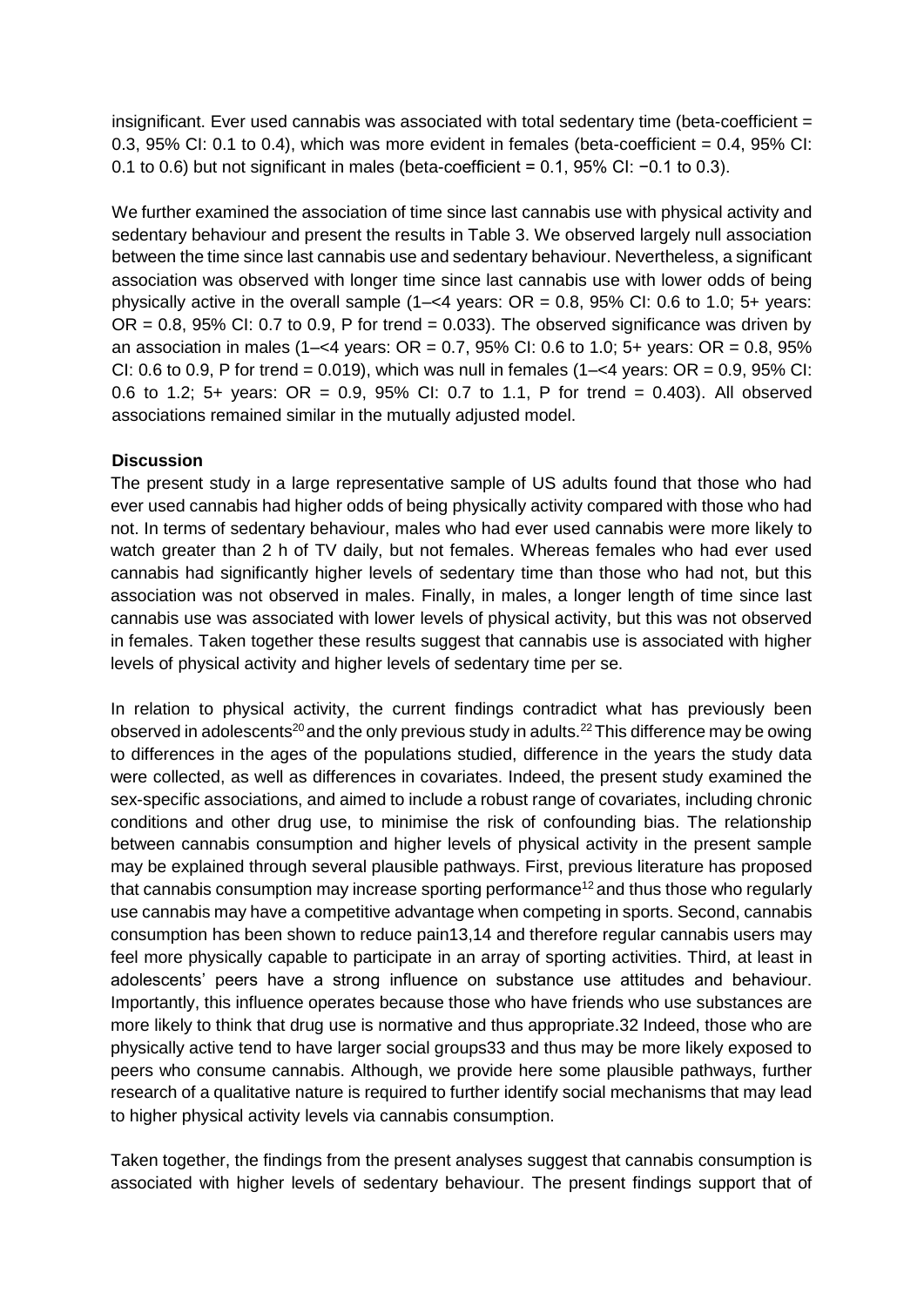insignificant. Ever used cannabis was associated with total sedentary time (beta-coefficient = 0.3, 95% CI: 0.1 to 0.4), which was more evident in females (beta-coefficient = 0.4, 95% CI: 0.1 to 0.6) but not significant in males (beta-coefficient = 0.1, 95% CI: −0.1 to 0.3).

We further examined the association of time since last cannabis use with physical activity and sedentary behaviour and present the results in Table 3. We observed largely null association between the time since last cannabis use and sedentary behaviour. Nevertheless, a significant association was observed with longer time since last cannabis use with lower odds of being physically active in the overall sample  $(1 - < 4$  years: OR = 0.8, 95% CI: 0.6 to 1.0; 5+ years:  $OR = 0.8$ , 95% CI: 0.7 to 0.9, P for trend = 0.033). The observed significance was driven by an association in males (1–<4 years:  $OR = 0.7$ , 95% CI: 0.6 to 1.0; 5+ years:  $OR = 0.8$ , 95% CI: 0.6 to 0.9, P for trend = 0.019), which was null in females  $(1 - < 4$  years: OR = 0.9, 95% CI: 0.6 to 1.2; 5+ years:  $OR = 0.9$ , 95% CI: 0.7 to 1.1, P for trend = 0.403). All observed associations remained similar in the mutually adjusted model.

## **Discussion**

The present study in a large representative sample of US adults found that those who had ever used cannabis had higher odds of being physically activity compared with those who had not. In terms of sedentary behaviour, males who had ever used cannabis were more likely to watch greater than 2 h of TV daily, but not females. Whereas females who had ever used cannabis had significantly higher levels of sedentary time than those who had not, but this association was not observed in males. Finally, in males, a longer length of time since last cannabis use was associated with lower levels of physical activity, but this was not observed in females. Taken together these results suggest that cannabis use is associated with higher levels of physical activity and higher levels of sedentary time per se.

In relation to physical activity, the current findings contradict what has previously been observed in adolescents<sup>20</sup> and the only previous study in adults.<sup>22</sup> This difference may be owing to differences in the ages of the populations studied, difference in the years the study data were collected, as well as differences in covariates. Indeed, the present study examined the sex-specific associations, and aimed to include a robust range of covariates, including chronic conditions and other drug use, to minimise the risk of confounding bias. The relationship between cannabis consumption and higher levels of physical activity in the present sample may be explained through several plausible pathways. First, previous literature has proposed that cannabis consumption may increase sporting performance<sup>12</sup> and thus those who reqularly use cannabis may have a competitive advantage when competing in sports. Second, cannabis consumption has been shown to reduce pain13,14 and therefore regular cannabis users may feel more physically capable to participate in an array of sporting activities. Third, at least in adolescents' peers have a strong influence on substance use attitudes and behaviour. Importantly, this influence operates because those who have friends who use substances are more likely to think that drug use is normative and thus appropriate.32 Indeed, those who are physically active tend to have larger social groups33 and thus may be more likely exposed to peers who consume cannabis. Although, we provide here some plausible pathways, further research of a qualitative nature is required to further identify social mechanisms that may lead to higher physical activity levels via cannabis consumption.

Taken together, the findings from the present analyses suggest that cannabis consumption is associated with higher levels of sedentary behaviour. The present findings support that of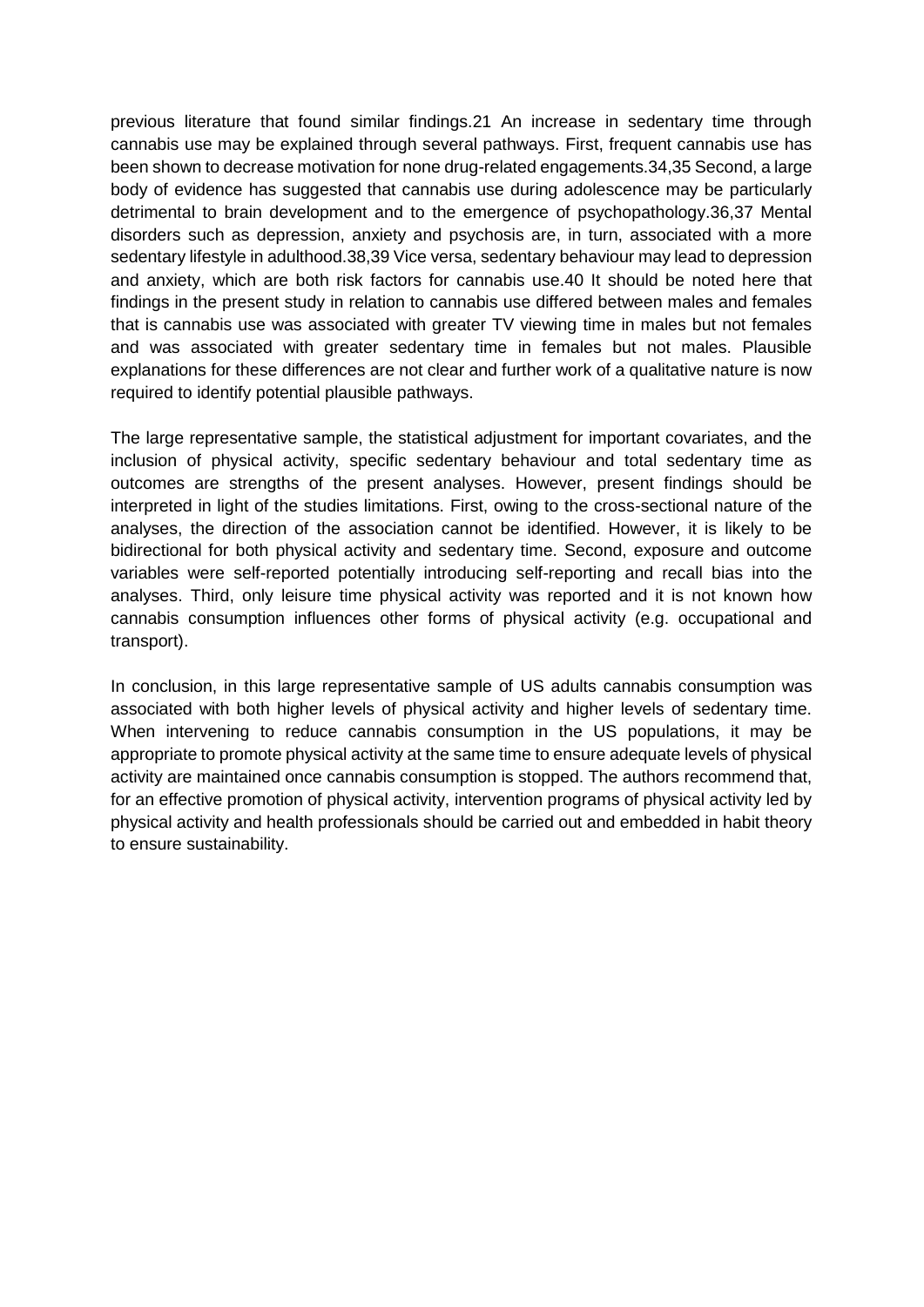previous literature that found similar findings.21 An increase in sedentary time through cannabis use may be explained through several pathways. First, frequent cannabis use has been shown to decrease motivation for none drug-related engagements.34,35 Second, a large body of evidence has suggested that cannabis use during adolescence may be particularly detrimental to brain development and to the emergence of psychopathology.36,37 Mental disorders such as depression, anxiety and psychosis are, in turn, associated with a more sedentary lifestyle in adulthood.38,39 Vice versa, sedentary behaviour may lead to depression and anxiety, which are both risk factors for cannabis use.40 It should be noted here that findings in the present study in relation to cannabis use differed between males and females that is cannabis use was associated with greater TV viewing time in males but not females and was associated with greater sedentary time in females but not males. Plausible explanations for these differences are not clear and further work of a qualitative nature is now required to identify potential plausible pathways.

The large representative sample, the statistical adjustment for important covariates, and the inclusion of physical activity, specific sedentary behaviour and total sedentary time as outcomes are strengths of the present analyses. However, present findings should be interpreted in light of the studies limitations. First, owing to the cross-sectional nature of the analyses, the direction of the association cannot be identified. However, it is likely to be bidirectional for both physical activity and sedentary time. Second, exposure and outcome variables were self-reported potentially introducing self-reporting and recall bias into the analyses. Third, only leisure time physical activity was reported and it is not known how cannabis consumption influences other forms of physical activity (e.g. occupational and transport).

In conclusion, in this large representative sample of US adults cannabis consumption was associated with both higher levels of physical activity and higher levels of sedentary time. When intervening to reduce cannabis consumption in the US populations, it may be appropriate to promote physical activity at the same time to ensure adequate levels of physical activity are maintained once cannabis consumption is stopped. The authors recommend that, for an effective promotion of physical activity, intervention programs of physical activity led by physical activity and health professionals should be carried out and embedded in habit theory to ensure sustainability.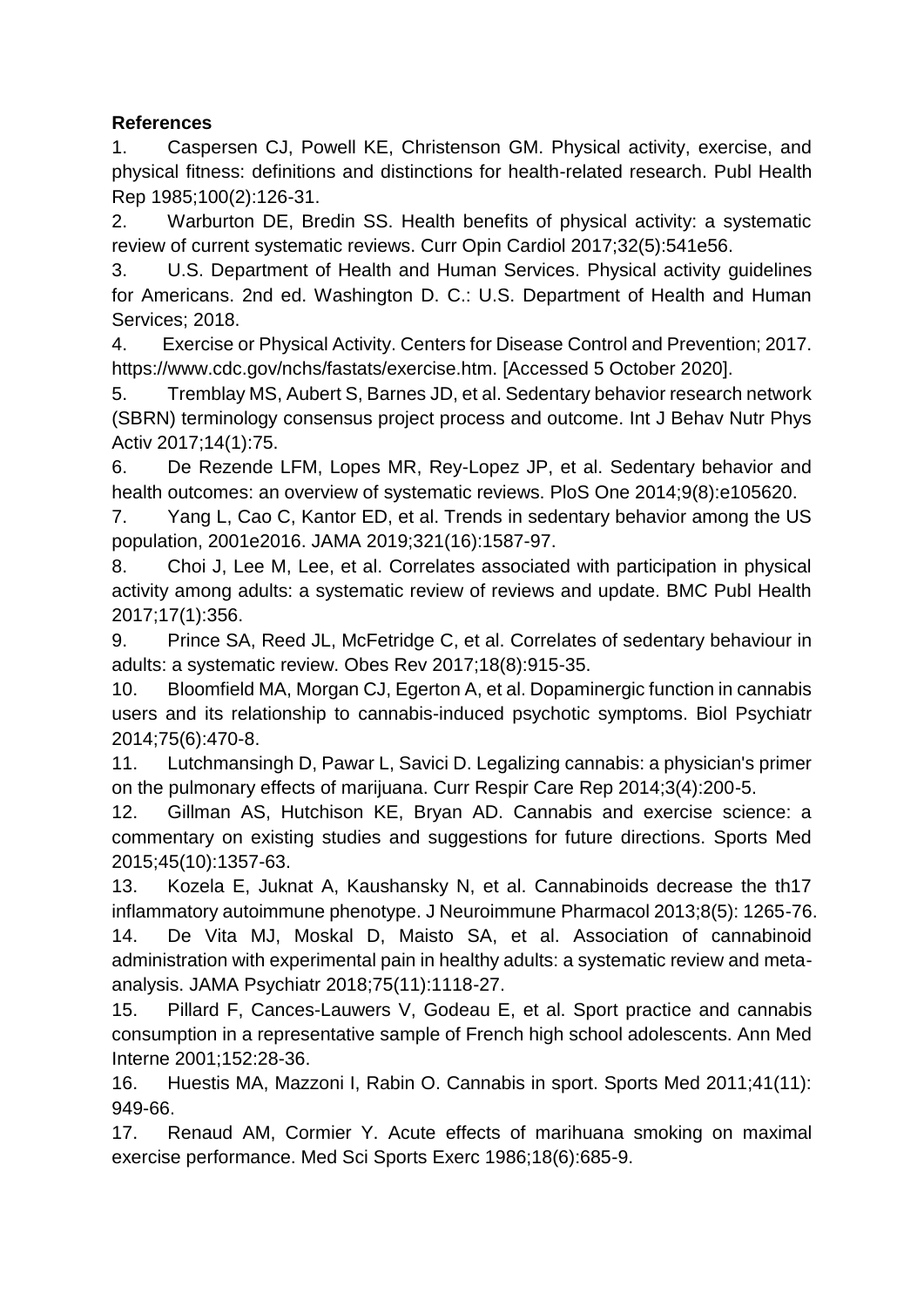# **References**

1. Caspersen CJ, Powell KE, Christenson GM. Physical activity, exercise, and physical fitness: definitions and distinctions for health-related research. Publ Health Rep 1985;100(2):126-31.

2. Warburton DE, Bredin SS. Health benefits of physical activity: a systematic review of current systematic reviews. Curr Opin Cardiol 2017;32(5):541e56.

3. U.S. Department of Health and Human Services. Physical activity guidelines for Americans. 2nd ed. Washington D. C.: U.S. Department of Health and Human Services; 2018.

4. Exercise or Physical Activity. Centers for Disease Control and Prevention; 2017. https://www.cdc.gov/nchs/fastats/exercise.htm. [Accessed 5 October 2020].

5. Tremblay MS, Aubert S, Barnes JD, et al. Sedentary behavior research network (SBRN) terminology consensus project process and outcome. Int J Behav Nutr Phys Activ 2017;14(1):75.

6. De Rezende LFM, Lopes MR, Rey-Lopez JP, et al. Sedentary behavior and health outcomes: an overview of systematic reviews. PloS One 2014;9(8):e105620.

7. Yang L, Cao C, Kantor ED, et al. Trends in sedentary behavior among the US population, 2001e2016. JAMA 2019;321(16):1587-97.

8. Choi J, Lee M, Lee, et al. Correlates associated with participation in physical activity among adults: a systematic review of reviews and update. BMC Publ Health 2017;17(1):356.

9. Prince SA, Reed JL, McFetridge C, et al. Correlates of sedentary behaviour in adults: a systematic review. Obes Rev 2017;18(8):915-35.

10. Bloomfield MA, Morgan CJ, Egerton A, et al. Dopaminergic function in cannabis users and its relationship to cannabis-induced psychotic symptoms. Biol Psychiatr 2014;75(6):470-8.

11. Lutchmansingh D, Pawar L, Savici D. Legalizing cannabis: a physician's primer on the pulmonary effects of marijuana. Curr Respir Care Rep 2014;3(4):200-5.

12. Gillman AS, Hutchison KE, Bryan AD. Cannabis and exercise science: a commentary on existing studies and suggestions for future directions. Sports Med 2015;45(10):1357-63.

13. Kozela E, Juknat A, Kaushansky N, et al. Cannabinoids decrease the th17 inflammatory autoimmune phenotype. J Neuroimmune Pharmacol 2013;8(5): 1265-76.

14. De Vita MJ, Moskal D, Maisto SA, et al. Association of cannabinoid administration with experimental pain in healthy adults: a systematic review and metaanalysis. JAMA Psychiatr 2018;75(11):1118-27.

15. Pillard F, Cances-Lauwers V, Godeau E, et al. Sport practice and cannabis consumption in a representative sample of French high school adolescents. Ann Med Interne 2001;152:28-36.

16. Huestis MA, Mazzoni I, Rabin O. Cannabis in sport. Sports Med 2011;41(11): 949-66.

17. Renaud AM, Cormier Y. Acute effects of marihuana smoking on maximal exercise performance. Med Sci Sports Exerc 1986;18(6):685-9.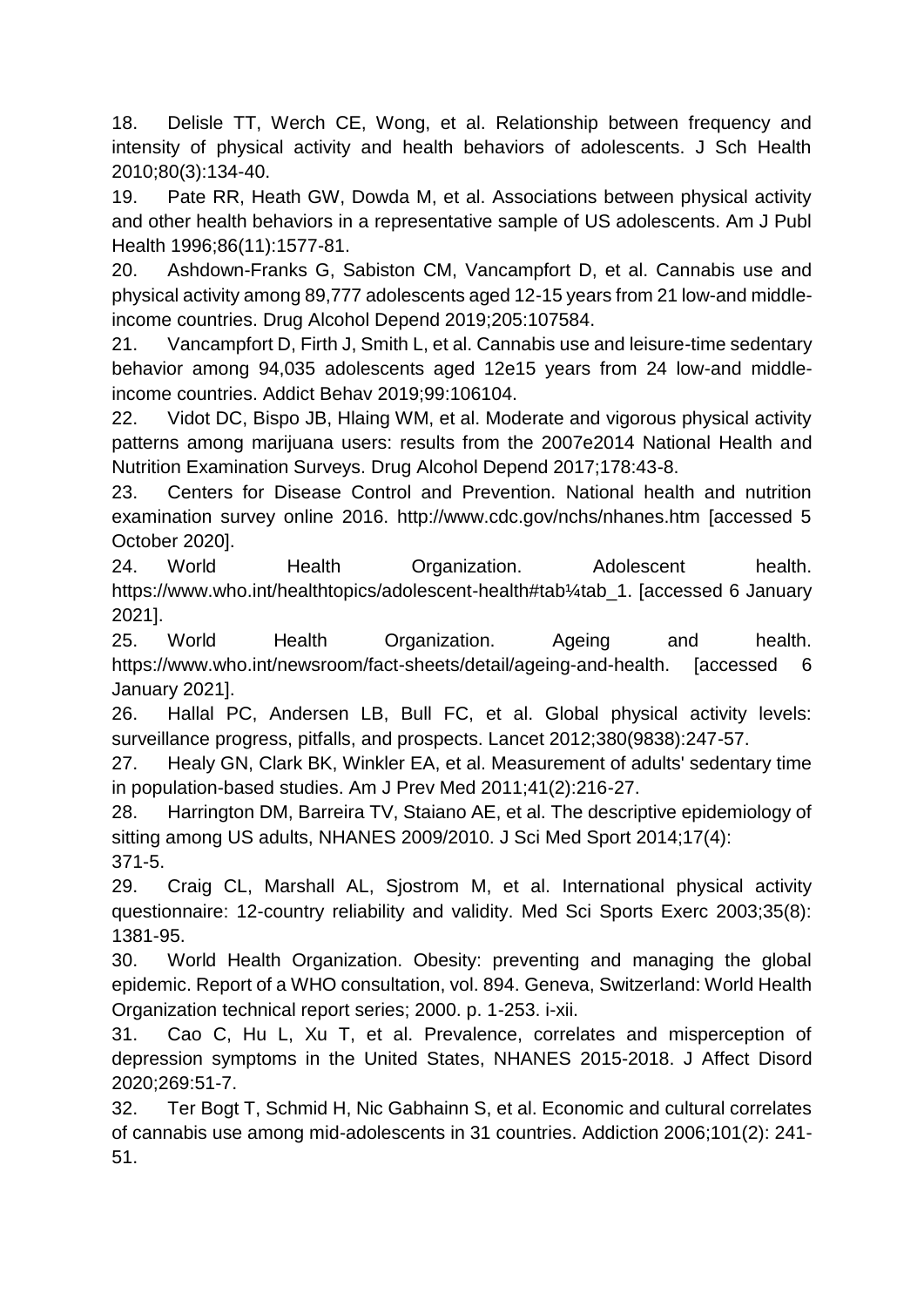18. Delisle TT, Werch CE, Wong, et al. Relationship between frequency and intensity of physical activity and health behaviors of adolescents. J Sch Health 2010;80(3):134-40.

19. Pate RR, Heath GW, Dowda M, et al. Associations between physical activity and other health behaviors in a representative sample of US adolescents. Am J Publ Health 1996;86(11):1577-81.

20. Ashdown-Franks G, Sabiston CM, Vancampfort D, et al. Cannabis use and physical activity among 89,777 adolescents aged 12-15 years from 21 low-and middleincome countries. Drug Alcohol Depend 2019;205:107584.

21. Vancampfort D, Firth J, Smith L, et al. Cannabis use and leisure-time sedentary behavior among 94,035 adolescents aged 12e15 years from 24 low-and middleincome countries. Addict Behav 2019;99:106104.

22. Vidot DC, Bispo JB, Hlaing WM, et al. Moderate and vigorous physical activity patterns among marijuana users: results from the 2007e2014 National Health and Nutrition Examination Surveys. Drug Alcohol Depend 2017;178:43-8.

23. Centers for Disease Control and Prevention. National health and nutrition examination survey online 2016. http://www.cdc.gov/nchs/nhanes.htm [accessed 5 October 2020].

24. World Health Organization. Adolescent health. https://www.who.int/healthtopics/adolescent-health#tab¼tab\_1. [accessed 6 January 2021].

25. World Health Organization. Ageing and health. https://www.who.int/newsroom/fact-sheets/detail/ageing-and-health. [accessed 6 January 2021].

26. Hallal PC, Andersen LB, Bull FC, et al. Global physical activity levels: surveillance progress, pitfalls, and prospects. Lancet 2012;380(9838):247-57.

27. Healy GN, Clark BK, Winkler EA, et al. Measurement of adults' sedentary time in population-based studies. Am J Prev Med 2011;41(2):216-27.

28. Harrington DM, Barreira TV, Staiano AE, et al. The descriptive epidemiology of sitting among US adults, NHANES 2009/2010. J Sci Med Sport 2014;17(4): 371-5.

29. Craig CL, Marshall AL, Sjostrom M, et al. International physical activity questionnaire: 12-country reliability and validity. Med Sci Sports Exerc 2003;35(8): 1381-95.

30. World Health Organization. Obesity: preventing and managing the global epidemic. Report of a WHO consultation, vol. 894. Geneva, Switzerland: World Health Organization technical report series; 2000. p. 1-253. i-xii.

31. Cao C, Hu L, Xu T, et al. Prevalence, correlates and misperception of depression symptoms in the United States, NHANES 2015-2018. J Affect Disord 2020;269:51-7.

32. Ter Bogt T, Schmid H, Nic Gabhainn S, et al. Economic and cultural correlates of cannabis use among mid-adolescents in 31 countries. Addiction 2006;101(2): 241- 51.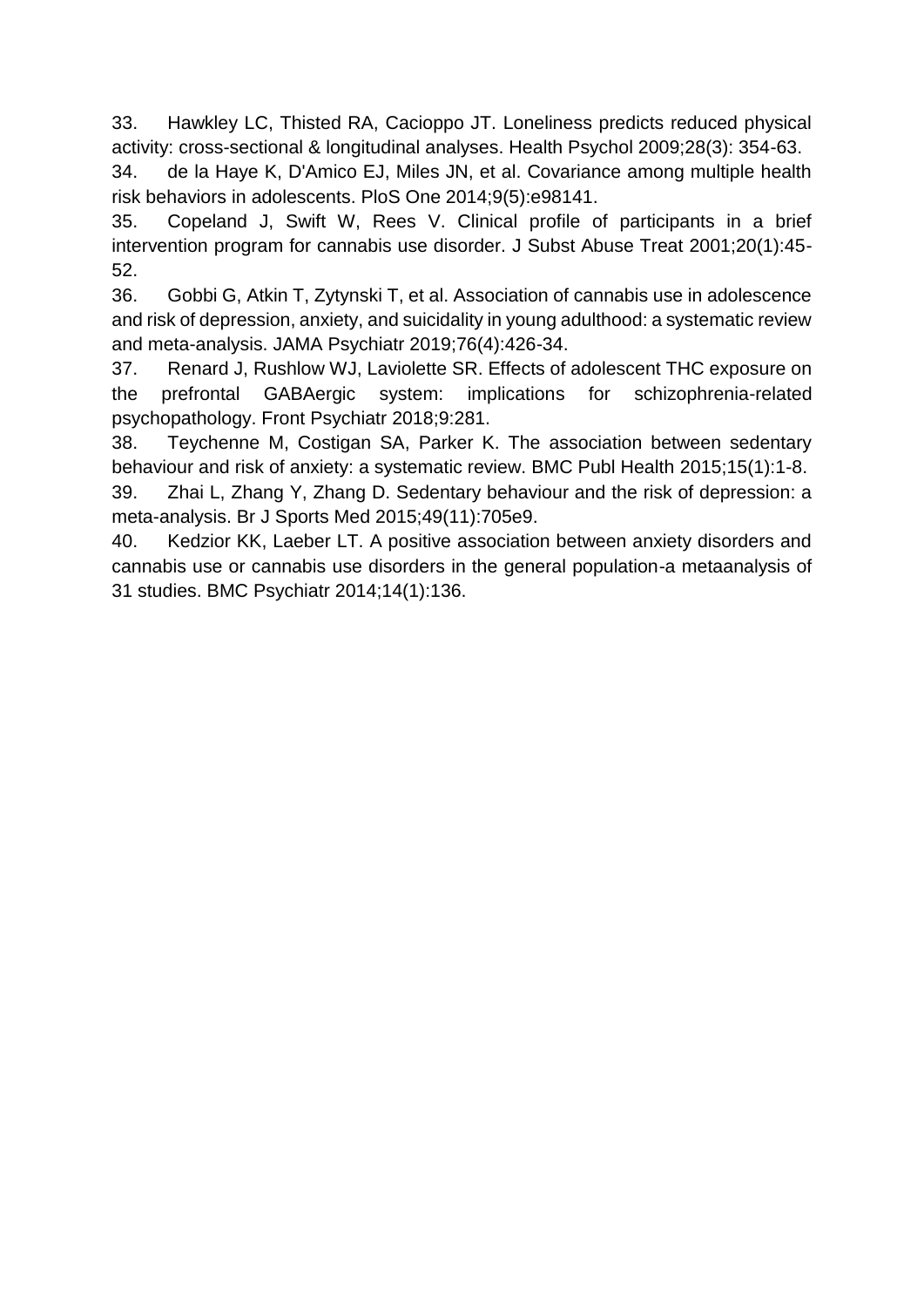33. Hawkley LC, Thisted RA, Cacioppo JT. Loneliness predicts reduced physical activity: cross-sectional & longitudinal analyses. Health Psychol 2009;28(3): 354-63.

34. de la Haye K, D'Amico EJ, Miles JN, et al. Covariance among multiple health risk behaviors in adolescents. PloS One 2014;9(5):e98141.

35. Copeland J, Swift W, Rees V. Clinical profile of participants in a brief intervention program for cannabis use disorder. J Subst Abuse Treat 2001;20(1):45- 52.

36. Gobbi G, Atkin T, Zytynski T, et al. Association of cannabis use in adolescence and risk of depression, anxiety, and suicidality in young adulthood: a systematic review and meta-analysis. JAMA Psychiatr 2019;76(4):426-34.

37. Renard J, Rushlow WJ, Laviolette SR. Effects of adolescent THC exposure on the prefrontal GABAergic system: implications for schizophrenia-related psychopathology. Front Psychiatr 2018;9:281.

38. Teychenne M, Costigan SA, Parker K. The association between sedentary behaviour and risk of anxiety: a systematic review. BMC Publ Health 2015;15(1):1-8.

39. Zhai L, Zhang Y, Zhang D. Sedentary behaviour and the risk of depression: a meta-analysis. Br J Sports Med 2015;49(11):705e9.

40. Kedzior KK, Laeber LT. A positive association between anxiety disorders and cannabis use or cannabis use disorders in the general population-a metaanalysis of 31 studies. BMC Psychiatr 2014;14(1):136.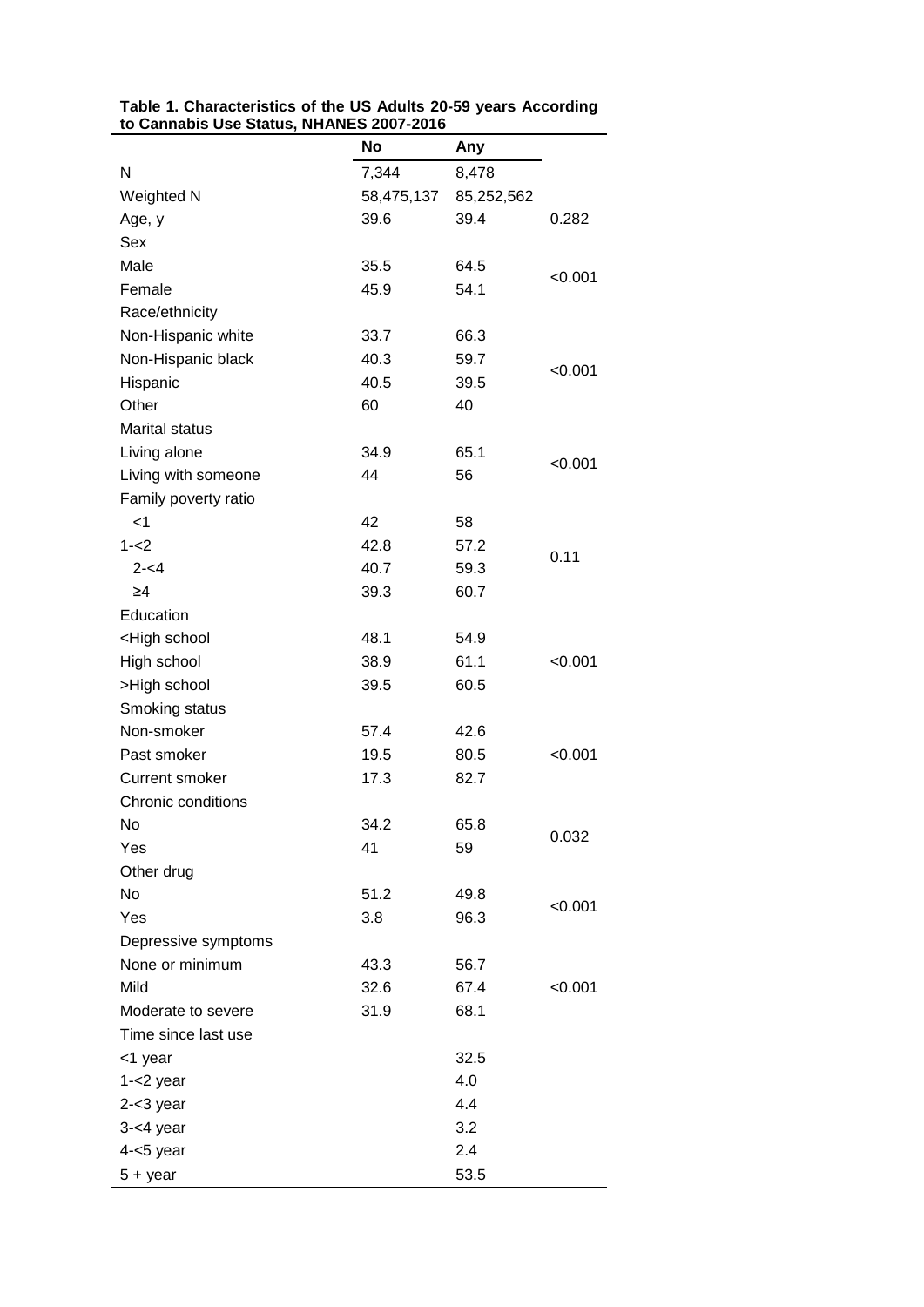|                                                                   | <b>No</b>  | Any        |         |
|-------------------------------------------------------------------|------------|------------|---------|
| Ν                                                                 | 7,344      | 8,478      |         |
| Weighted N                                                        | 58,475,137 | 85,252,562 |         |
| Age, y                                                            | 39.6       | 39.4       | 0.282   |
| Sex                                                               |            |            |         |
| Male                                                              | 35.5       | 64.5       |         |
| Female                                                            | 45.9       | 54.1       | < 0.001 |
| Race/ethnicity                                                    |            |            |         |
| Non-Hispanic white                                                | 33.7       | 66.3       |         |
| Non-Hispanic black                                                | 40.3       | 59.7       |         |
| Hispanic                                                          | 40.5       | 39.5       | < 0.001 |
| Other                                                             | 60         | 40         |         |
| <b>Marital status</b>                                             |            |            |         |
| Living alone                                                      | 34.9       | 65.1       |         |
| Living with someone                                               | 44         | 56         | < 0.001 |
| Family poverty ratio                                              |            |            |         |
| $<$ 1                                                             | 42         | 58         |         |
| $1 - 2$                                                           | 42.8       | 57.2       |         |
| $2 - 4$                                                           | 40.7       | 59.3       | 0.11    |
| $\geq 4$                                                          | 39.3       | 60.7       |         |
| Education                                                         |            |            |         |
| <high school<="" td=""><td>48.1</td><td>54.9</td><td></td></high> | 48.1       | 54.9       |         |
| High school                                                       | 38.9       | 61.1       | < 0.001 |
| >High school                                                      | 39.5       | 60.5       |         |
| Smoking status                                                    |            |            |         |
| Non-smoker                                                        | 57.4       | 42.6       |         |
| Past smoker                                                       | 19.5       | 80.5       | < 0.001 |
| <b>Current smoker</b>                                             | 17.3       | 82.7       |         |
| Chronic conditions                                                |            |            |         |
| No.                                                               | 34.2       | 65.8       |         |
| Yes                                                               | 41         | 59         | 0.032   |
| Other drug                                                        |            |            |         |
| No                                                                | 51.2       | 49.8       |         |
| Yes                                                               | 3.8        | 96.3       | < 0.001 |
| Depressive symptoms                                               |            |            |         |
| None or minimum                                                   | 43.3       | 56.7       |         |
| Mild                                                              | 32.6       | 67.4       | < 0.001 |
| Moderate to severe                                                | 31.9       | 68.1       |         |
| Time since last use                                               |            |            |         |
| <1 year                                                           |            | 32.5       |         |
| $1 - 2$ year                                                      |            | 4.0        |         |
| $2 - 3$ year                                                      |            | 4.4        |         |
| $3 - 4$ year                                                      |            | 3.2        |         |
| $4 - 5$ year                                                      |            | 2.4        |         |
| $5 + year$                                                        |            | 53.5       |         |

**Table 1. Characteristics of the US Adults 20-59 years According to Cannabis Use Status, NHANES 2007-2016**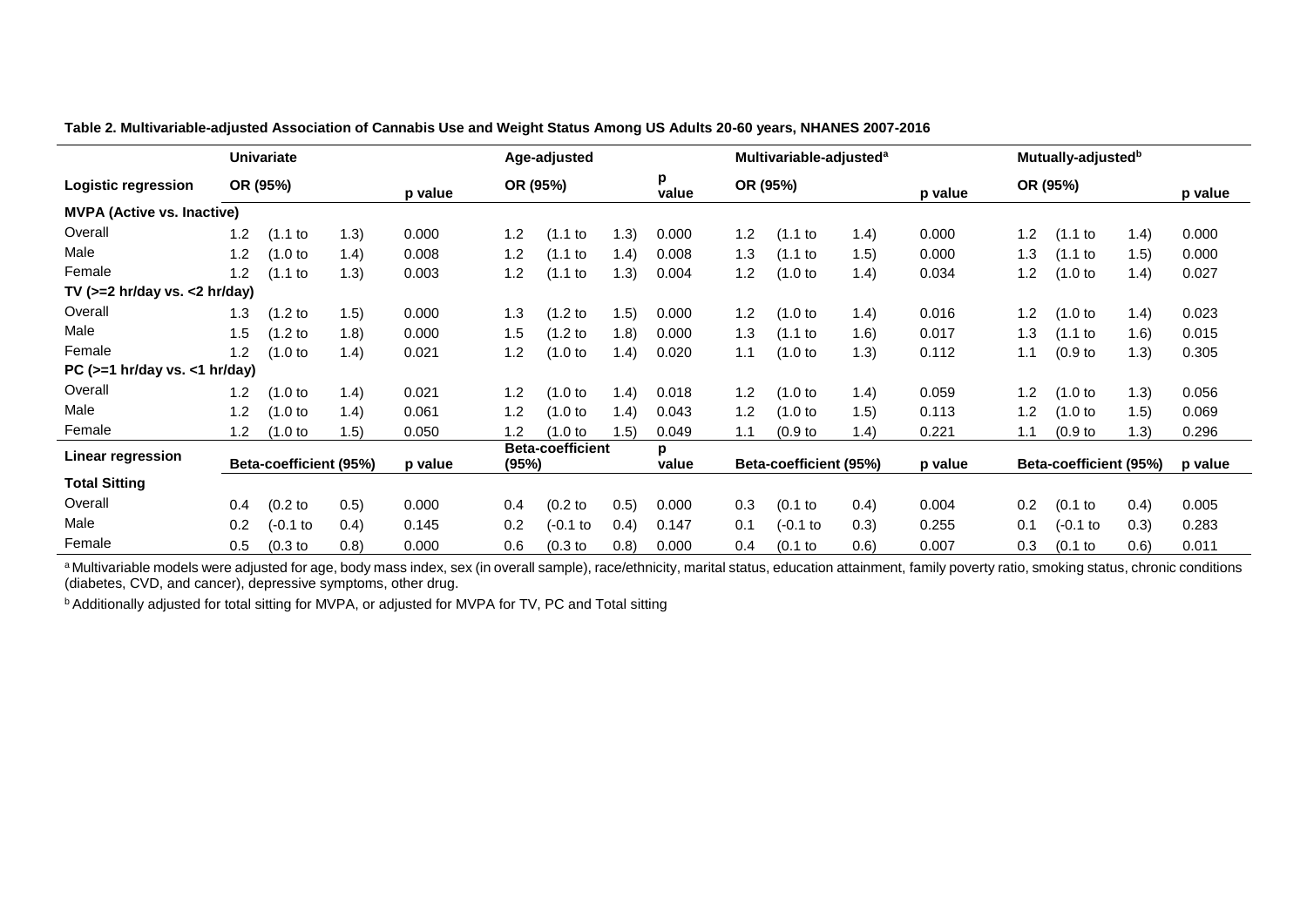|                                   | Univariate                        |                      |         |          |                                           | Age-adjusted         |       |          |                        | Multivariable-adjusted <sup>a</sup> |          |                        |         | Mutually-adjusted <sup>b</sup> |       |       |  |
|-----------------------------------|-----------------------------------|----------------------|---------|----------|-------------------------------------------|----------------------|-------|----------|------------------------|-------------------------------------|----------|------------------------|---------|--------------------------------|-------|-------|--|
| Logistic regression               | OR (95%)                          |                      | p value | OR (95%) |                                           | p<br>value           |       | OR (95%) |                        | p value                             | OR (95%) |                        | p value |                                |       |       |  |
| <b>MVPA (Active vs. Inactive)</b> |                                   |                      |         |          |                                           |                      |       |          |                        |                                     |          |                        |         |                                |       |       |  |
| Overall                           | 1.2                               | (1.1 to              | 1.3)    | 0.000    | 1.2                                       | (1.1 to              | (1.3) | 0.000    | 1.2                    | (1.1 to                             | 1.4)     | 0.000                  | 1.2     | $(1.1)$ to                     | 1.4)  | 0.000 |  |
| Male                              | 1.2                               | (1.0 <sub>to</sub> ) | 1.4)    | 0.008    | 1.2                                       | (1.1 to              | (1.4) | 0.008    | 1.3                    | (1.1)                               | (1.5)    | 0.000                  | 1.3     | $(1.1)$ to                     | 1.5)  | 0.000 |  |
| Female                            | 1.2                               | (1.1)                | (1.3)   | 0.003    | 1.2                                       | (1.1)                | (1.3) | 0.004    | 1.2                    | (1.0)                               | 1.4)     | 0.034                  | 1.2     | (1.0 <sub>to</sub> )           | 1.4)  | 0.027 |  |
| TV $(>=2$ hr/day vs. <2 hr/day)   |                                   |                      |         |          |                                           |                      |       |          |                        |                                     |          |                        |         |                                |       |       |  |
| Overall                           | 1.3                               | (1.2 <sub>to</sub> ) | 1.5)    | 0.000    | 1.3                                       | (1.2 to              | 1.5)  | 0.000    | 1.2                    | (1.0 <sub>to</sub> )                | 1.4)     | 0.016                  | 1.2     | (1.0 to                        | 1.4)  | 0.023 |  |
| Male                              | 1.5                               | (1.2 <sub>to</sub> ) | (1.8)   | 0.000    | 1.5                                       | (1.2 to              | 1.8)  | 0.000    | 1.3                    | $(1.1)$ to                          | (1.6)    | 0.017                  | 1.3     | $(1.1$ to                      | 1.6)  | 0.015 |  |
| Female                            | 1.2                               | (1.0 <sub>to</sub> ) | (1.4)   | 0.021    | 1.2                                       | (1.0 to              | (1.4) | 0.020    | 1.1                    | $(1.0)$ to                          | (1.3)    | 0.112                  | 1.1     | (0.9 <sub>to</sub> )           | 1.3)  | 0.305 |  |
| PC $(>=1$ hr/day vs. <1 hr/day)   |                                   |                      |         |          |                                           |                      |       |          |                        |                                     |          |                        |         |                                |       |       |  |
| Overall                           | 1.2                               | (1.0 <sub>to</sub> ) | 1.4)    | 0.021    | 1.2                                       | (1.0 to              | 1.4)  | 0.018    | 1.2                    | (1.0 <sub>to</sub> )                | (1.4)    | 0.059                  | 1.2     | (1.0 <sub>to</sub> )           | 1.3)  | 0.056 |  |
| Male                              | 1.2                               | (1.0 <sub>to</sub> ) | 1.4)    | 0.061    | 1.2                                       | (1.0 to              | 1.4)  | 0.043    | 1.2                    | $(1.0)$ to                          | (1.5)    | 0.113                  | 1.2     | (1.0 <sub>to</sub> )           | (1.5) | 0.069 |  |
| Female                            | 1.2                               | (1.0 to              | 1.5)    | 0.050    | 1.2                                       | (1.0 to              | 1.5)  | 0.049    | 1.1                    | (0.9 <sub>to</sub> )                | (1.4)    | 0.221                  | 1.1     | (0.9 <sub>to</sub> )           | 1.3)  | 0.296 |  |
| Linear regression                 | Beta-coefficient (95%)<br>p value |                      |         |          | <b>Beta-coefficient</b><br>(95%)<br>value |                      |       |          | Beta-coefficient (95%) |                                     | p value  | Beta-coefficient (95%) |         | p value                        |       |       |  |
| <b>Total Sitting</b>              |                                   |                      |         |          |                                           |                      |       |          |                        |                                     |          |                        |         |                                |       |       |  |
| Overall                           | 0.4                               | (0.2 <sub>to</sub> ) | (0.5)   | 0.000    | 0.4                                       | (0.2 <sub>to</sub> ) | 0.5)  | 0.000    | 0.3                    | $(0.1)$ to                          | (0.4)    | 0.004                  | 0.2     | $(0.1)$ to                     | (0.4) | 0.005 |  |
| Male                              | 0.2                               | $(-0.1)$ to          | (0.4)   | 0.145    | 0.2                                       | (-0.1 to             | (0.4) | 0.147    | 0.1                    | $(-0.1)$ to                         | (0.3)    | 0.255                  | 0.1     | $(-0.1)$ to                    | (0.3) | 0.283 |  |
| Female                            | 0.5                               | $(0.3)$ to           | (0.8)   | 0.000    | 0.6                                       | $(0.3)$ to           | (0.8) | 0.000    | 0.4                    | $(0.1)$ to                          | (0.6)    | 0.007                  | 0.3     | $(0.1)$ to                     | (0.6) | 0.011 |  |

**Table 2. Multivariable-adjusted Association of Cannabis Use and Weight Status Among US Adults 20-60 years, NHANES 2007-2016**

a Multivariable models were adjusted for age, body mass index, sex (in overall sample), race/ethnicity, marital status, education attainment, family poverty ratio, smoking status, chronic conditions (diabetes, CVD, and cancer), depressive symptoms, other drug.

**b** Additionally adjusted for total sitting for MVPA, or adjusted for MVPA for TV, PC and Total sitting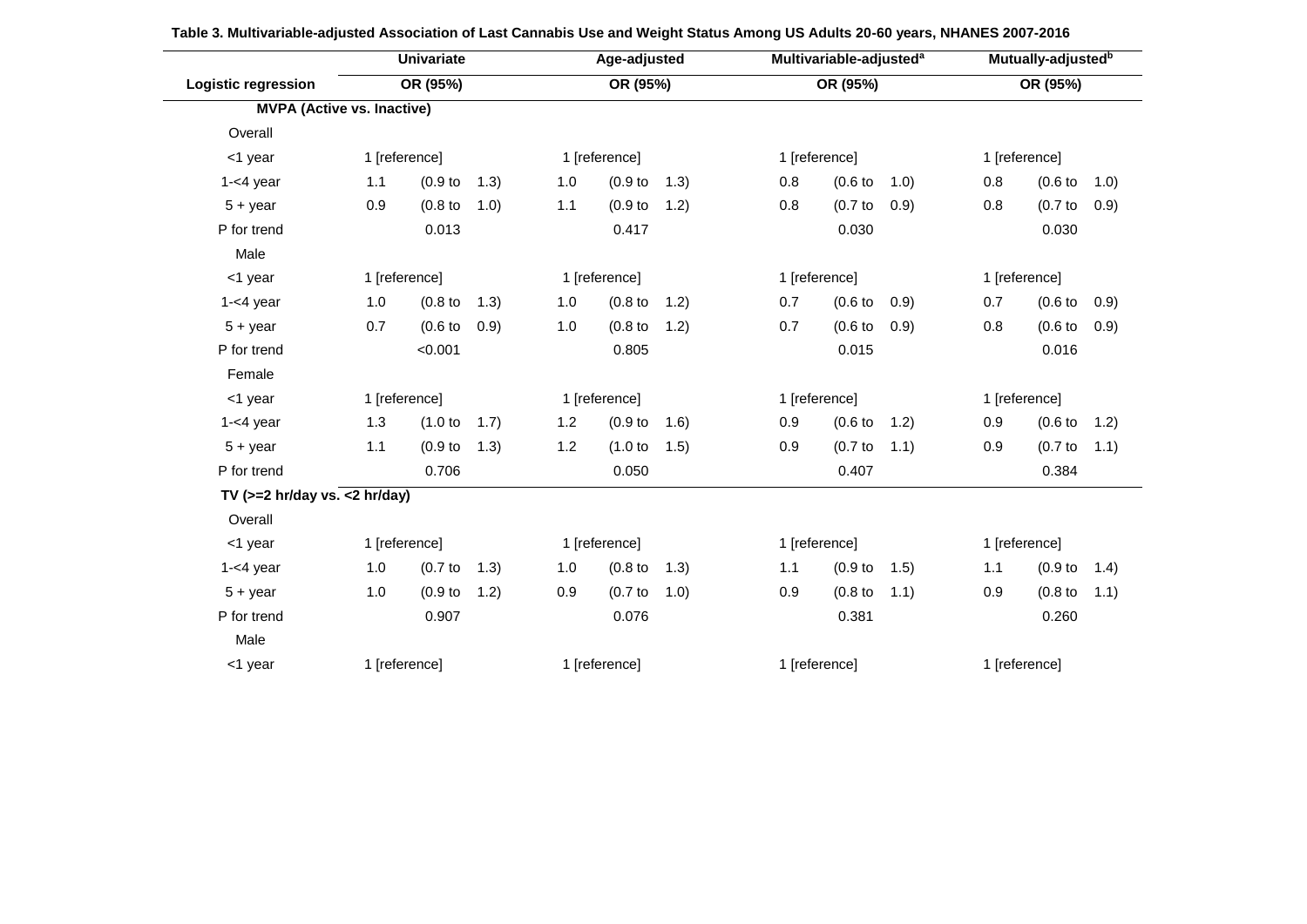|                                   | <b>Univariate</b><br>OR (95%) |                      |       | Age-adjusted<br>OR (95%) |                      |       |               | Multivariable-adjusted <sup>a</sup> | Mutually-adjusted <sup>b</sup> |               |                      |       |  |
|-----------------------------------|-------------------------------|----------------------|-------|--------------------------|----------------------|-------|---------------|-------------------------------------|--------------------------------|---------------|----------------------|-------|--|
| <b>Logistic regression</b>        |                               |                      |       |                          |                      |       | OR (95%)      |                                     |                                | OR (95%)      |                      |       |  |
| <b>MVPA (Active vs. Inactive)</b> |                               |                      |       |                          |                      |       |               |                                     |                                |               |                      |       |  |
| Overall                           |                               |                      |       |                          |                      |       |               |                                     |                                |               |                      |       |  |
| <1 year                           |                               | 1 [reference]        |       |                          | 1 [reference]        |       |               | 1 [reference]                       |                                |               | 1 [reference]        |       |  |
| $1 - 4$ year                      | 1.1                           | (0.9 <sub>to</sub> ) | (1.3) | 1.0                      | (0.9 <sub>to</sub> ) | (1.3) | 0.8           | (0.6 <sub>to</sub> )                | (1.0)                          | 0.8           | $(0.6)$ to           | 1.0)  |  |
| $5 + year$                        | 0.9                           | (0.8 <sub>to</sub> ) | 1.0)  | 1.1                      | (0.9 <sub>to</sub> ) | 1.2)  | 0.8           | $(0.7)$ to                          | 0.9)                           | 0.8           | $(0.7)$ to           | (0.9) |  |
| P for trend                       |                               | 0.013                |       |                          | 0.417                |       |               | 0.030                               |                                |               | 0.030                |       |  |
| Male                              |                               |                      |       |                          |                      |       |               |                                     |                                |               |                      |       |  |
| <1 year                           | 1 [reference]                 |                      |       | 1 [reference]            |                      |       | 1 [reference] |                                     |                                | 1 [reference] |                      |       |  |
| $1 - 4$ year                      | 1.0                           | $(0.8)$ to           | (1.3) | 1.0                      | $(0.8)$ to           | 1.2)  | 0.7           | $(0.6)$ to                          | (0.9)                          | 0.7           | (0.6 <sub>to</sub> ) | 0.9)  |  |
| $5 + year$                        | 0.7                           | (0.6 <sub>to</sub> ) | 0.9)  | 1.0                      | $(0.8)$ to           | 1.2)  | 0.7           | (0.6)                               | 0.9)                           | 0.8           | (0.6)                | 0.9)  |  |
| P for trend                       |                               | < 0.001              |       |                          | 0.805                |       |               | 0.015                               |                                |               | 0.016                |       |  |
| Female                            |                               |                      |       |                          |                      |       |               |                                     |                                |               |                      |       |  |
| <1 year                           |                               | 1 [reference]        |       |                          | 1 [reference]        |       |               | 1 [reference]                       |                                |               | 1 [reference]        |       |  |
| $1 - 4$ year                      | 1.3                           | (1.0 to              | 1.7)  | 1.2                      | (0.9 <sub>to</sub> ) | 1.6)  | 0.9           | (0.6 <sub>to</sub> )                | 1.2)                           | 0.9           | (0.6 <sub>to</sub> ) | 1.2)  |  |
| $5 + year$                        | 1.1                           | (0.9 <sub>to</sub> ) | (1.3) | 1.2                      | (1.0 to              | (1.5) | 0.9           | $(0.7)$ to                          | 1.1)                           | 0.9           | $(0.7)$ to           | (1.1) |  |
| P for trend                       |                               | 0.706                |       |                          | 0.050                |       |               | 0.407                               |                                |               | 0.384                |       |  |
| TV $(>=2$ hr/day vs. <2 hr/day)   |                               |                      |       |                          |                      |       |               |                                     |                                |               |                      |       |  |
| Overall                           |                               |                      |       |                          |                      |       |               |                                     |                                |               |                      |       |  |
| <1 year                           |                               | 1 [reference]        |       |                          | 1 [reference]        |       | 1 [reference] |                                     |                                | 1 [reference] |                      |       |  |
| $1 - 4$ year                      | 1.0                           | $(0.7)$ to           | (1.3) | 1.0                      | $(0.8)$ to           | 1.3)  | 1.1           | (0.9 <sub>to</sub> )                | 1.5)                           | 1.1           | (0.9 <sub>to</sub> ) | 1.4)  |  |
| $5 + year$                        | 1.0                           | (0.9 <sub>to</sub> ) | 1.2)  | 0.9                      | $(0.7)$ to           | (1.0) | 0.9           | (0.8 <sub>to</sub> )                | 1.1)                           | 0.9           | (0.8 <sub>to</sub> ) | (1.1) |  |
| P for trend                       |                               | 0.907                |       |                          | 0.076                |       |               | 0.381                               |                                |               | 0.260                |       |  |
| Male                              |                               |                      |       |                          |                      |       |               |                                     |                                |               |                      |       |  |
| <1 year                           | 1 [reference]                 |                      |       | 1 [reference]            |                      |       | 1 [reference] |                                     |                                | 1 [reference] |                      |       |  |

| Table 3. Multivariable-adjusted Association of Last Cannabis Use and Weight Status Among US Adults 20-60 years, NHANES 2007-2016 |  |
|----------------------------------------------------------------------------------------------------------------------------------|--|
|                                                                                                                                  |  |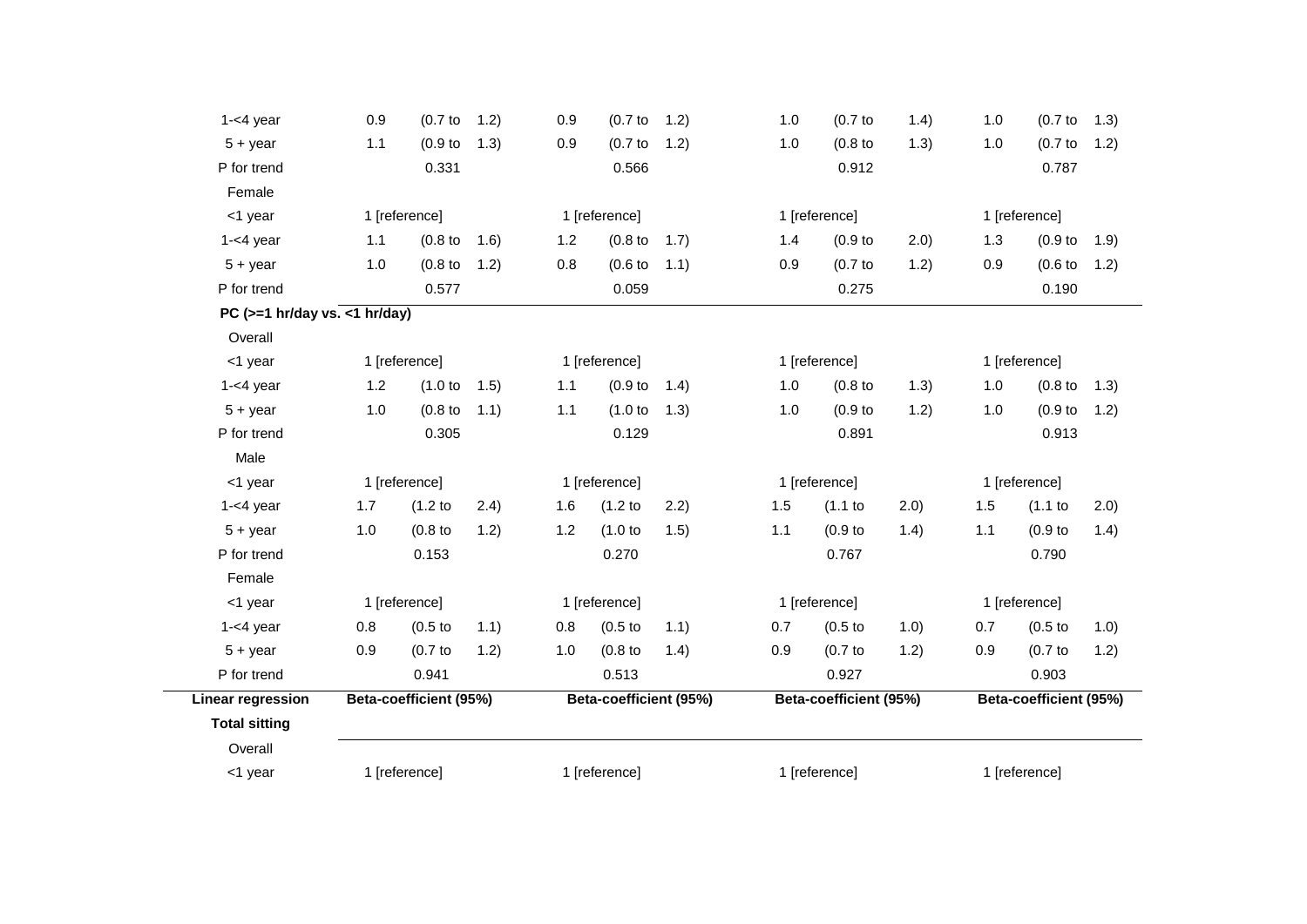| $1 - 4$ year                    | 0.9           | $(0.7)$ to             | 1.2) | 0.9 | $(0.7)$ to             | 1.2) | 1.0 | (0.7)                  | 1.4)  | 1.0                    | $(0.7)$ to           | (1.3) |  |
|---------------------------------|---------------|------------------------|------|-----|------------------------|------|-----|------------------------|-------|------------------------|----------------------|-------|--|
| $5 + year$                      | 1.1           | (0.9 <sub>to</sub> )   | 1.3) | 0.9 | (0.7)                  | 1.2) | 1.0 | $(0.8)$ to             | 1.3)  | 1.0                    | $(0.7)$ to           | 1.2)  |  |
| P for trend                     |               | 0.331                  |      |     | 0.566                  |      |     | 0.912                  |       |                        | 0.787                |       |  |
| Female                          |               |                        |      |     |                        |      |     |                        |       |                        |                      |       |  |
| <1 year                         | 1 [reference] |                        |      |     | 1 [reference]          |      |     | 1 [reference]          |       | 1 [reference]          |                      |       |  |
| $1 - 4$ year                    | 1.1           | $(0.8)$ to             | 1.6) | 1.2 | $(0.8)$ to             | 1.7) | 1.4 | (0.9 <sub>to</sub> )   | (2.0) | 1.3                    | (0.9 <sub>to</sub> ) | (1.9) |  |
| $5 + year$                      | 1.0           | $(0.8)$ to             | 1.2) | 0.8 | $(0.6)$ to             | 1.1) | 0.9 | $(0.7)$ to             | 1.2)  | 0.9                    | (0.6)                | 1.2)  |  |
| P for trend                     |               | 0.577                  |      |     | 0.059                  |      |     | 0.275                  |       |                        | 0.190                |       |  |
| PC $(>=1$ hr/day vs. <1 hr/day) |               |                        |      |     |                        |      |     |                        |       |                        |                      |       |  |
| Overall                         |               |                        |      |     |                        |      |     |                        |       |                        |                      |       |  |
| <1 year                         | 1 [reference] |                        |      |     | 1 [reference]          |      |     | 1 [reference]          |       | 1 [reference]          |                      |       |  |
| $1 - 4$ year                    | 1.2           | (1.0 to                | 1.5) | 1.1 | (0.9 <sub>to</sub> )   | 1.4) | 1.0 | (0.8 <sub>to</sub> )   | (1.3) | 1.0                    | (0.8 <sub>to</sub> ) | 1.3)  |  |
| $5 + year$                      | 1.0           | $(0.8)$ to             | 1.1) | 1.1 | (1.0 to                | 1.3) | 1.0 | (0.9 <sub>to</sub> )   | 1.2)  | 1.0                    | (0.9 <sub>to</sub> ) | 1.2)  |  |
| P for trend                     |               | 0.305                  |      |     | 0.129                  |      |     | 0.891                  |       |                        | 0.913                |       |  |
| Male                            |               |                        |      |     |                        |      |     |                        |       |                        |                      |       |  |
| <1 year                         |               | 1 [reference]          |      |     | 1 [reference]          |      |     | 1 [reference]          |       |                        | 1 [reference]        |       |  |
| $1 - 4$ year                    | 1.7           | (1.2)                  | 2.4) | 1.6 | (1.2)                  | 2.2) | 1.5 | (1.1 to                | 2.0)  | 1.5                    | $(1.1$ to            | 2.0)  |  |
| $5 + year$                      | 1.0           | (0.8)                  | 1.2) | 1.2 | (1.0 to                | 1.5) | 1.1 | (0.9 <sub>to</sub> )   | 1.4)  | 1.1                    | (0.9 <sub>to</sub> ) | 1.4)  |  |
| P for trend                     |               | 0.153                  |      |     | 0.270                  |      |     | 0.767                  |       |                        | 0.790                |       |  |
| Female                          |               |                        |      |     |                        |      |     |                        |       |                        |                      |       |  |
| <1 year                         |               | 1 [reference]          |      |     | 1 [reference]          |      |     | 1 [reference]          |       |                        | 1 [reference]        |       |  |
| $1 - 4$ year                    | 0.8           | (0.5)                  | 1.1) | 0.8 | $(0.5)$ to             | 1.1) | 0.7 | (0.5 <sub>to</sub> )   | 1.0)  | 0.7                    | $(0.5)$ to           | 1.0)  |  |
| $5 + year$                      | 0.9           | (0.7)                  | 1.2) | 1.0 | $(0.8)$ to             | 1.4) | 0.9 | $(0.7)$ to             | 1.2)  | 0.9                    | $(0.7)$ to           | 1.2)  |  |
| P for trend                     |               | 0.941                  |      |     | 0.513                  |      |     | 0.927                  |       |                        | 0.903                |       |  |
| <b>Linear regression</b>        |               | Beta-coefficient (95%) |      |     | Beta-coefficient (95%) |      |     | Beta-coefficient (95%) |       | Beta-coefficient (95%) |                      |       |  |
| <b>Total sitting</b>            |               |                        |      |     |                        |      |     |                        |       |                        |                      |       |  |
| Overall                         |               |                        |      |     |                        |      |     |                        |       |                        |                      |       |  |
| <1 year                         |               | 1 [reference]          |      |     | 1 [reference]          |      |     | 1 [reference]          |       |                        | 1 [reference]        |       |  |
|                                 |               |                        |      |     |                        |      |     |                        |       |                        |                      |       |  |